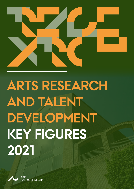



ARTS<br>AARHUS UNIVERSITY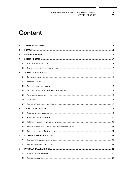# **Content**

| $\mathbf{1}$   |     |  |  |  |  |  |  |  |  |  |  |
|----------------|-----|--|--|--|--|--|--|--|--|--|--|
| $\mathbf{2}$   |     |  |  |  |  |  |  |  |  |  |  |
| 3              |     |  |  |  |  |  |  |  |  |  |  |
| 4              |     |  |  |  |  |  |  |  |  |  |  |
|                | 4.1 |  |  |  |  |  |  |  |  |  |  |
|                | 4.2 |  |  |  |  |  |  |  |  |  |  |
| 5              |     |  |  |  |  |  |  |  |  |  |  |
|                | 5.1 |  |  |  |  |  |  |  |  |  |  |
|                | 5.2 |  |  |  |  |  |  |  |  |  |  |
|                | 5.3 |  |  |  |  |  |  |  |  |  |  |
|                | 5.4 |  |  |  |  |  |  |  |  |  |  |
|                | 5.5 |  |  |  |  |  |  |  |  |  |  |
|                | 5.6 |  |  |  |  |  |  |  |  |  |  |
|                | 5.7 |  |  |  |  |  |  |  |  |  |  |
| 6              |     |  |  |  |  |  |  |  |  |  |  |
|                | 6.1 |  |  |  |  |  |  |  |  |  |  |
|                | 6.2 |  |  |  |  |  |  |  |  |  |  |
|                | 6.3 |  |  |  |  |  |  |  |  |  |  |
|                | 6.4 |  |  |  |  |  |  |  |  |  |  |
|                | 6.5 |  |  |  |  |  |  |  |  |  |  |
| $\overline{ }$ |     |  |  |  |  |  |  |  |  |  |  |
|                | 7.1 |  |  |  |  |  |  |  |  |  |  |
|                | 7.2 |  |  |  |  |  |  |  |  |  |  |
| 8              |     |  |  |  |  |  |  |  |  |  |  |
|                | 8.1 |  |  |  |  |  |  |  |  |  |  |
|                | 8.2 |  |  |  |  |  |  |  |  |  |  |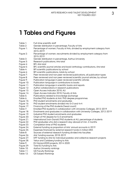# **1 Tables and Figures**

- Table 1: Full-time scientific staff
- Table 2: Gender distribution in percentage, Faculty of Arts
- Figure 1: Percentage of women, Faculty of Arts, divided by employment category from 2015-2019
- Figure 2: Percentage of women, recruitments divided by employment category from 2015-2019
- Table 3: Gender distribution in percentage, Aarhus University
- Figure 3: Research publications, Arts total
- Figure 4: BFI, Arts total
- Figure 5: BFI, scientific journal articles and book/anthology contributions, Arts total
- Table 4: BFI scientific publications by school
- Figure 6: BFI scientific publications, totals by school<br>Figure 7: Peer-reviewed and non peer-reviewed pu
- Peer-reviewed and non peer-reviewed publications, all publication types
- Figure 8: Peer-reviewed and non peer-reviewed scientific journal articles, by school
- Figure 9: Publication language in peer-reviewed scientific articles
- Figure 10: Publication language in contributions to books
- Figure 11: Publication language in scientific books and reports<br>Figure 12: Author collaborations in research publications
- Author collaborations in research publications
- Figure 13: Open Access Indicator 2018, AU
- Figure 14: Open Access Indicator 2018, Faculty of Arts
- Table 5: Publications related to knowledge exchange
- Table 6: Enrolled PhD students at Arts' PhD degree programmes
- Figure 15: PhD student enrolments and graduates
- Figure 16: PhD student enrolments divided into 5+3 and 4+4
- Figure 17: Financing of the PhD students (head count)
- Table 7: Enrolled PhD students in collaboration with University Colleges, 2012-2019
- Figure 18: Enrolments and graduates in collaboration with University Colleges, 2012-2019<br>Figure 19: Industrial PhD student enrolments and graduates
- Industrial PhD student enrolments and graduates
- Figure 20: Origin of MA degree for 5+3 enrolments
- Figure 21: International (non-Danish) PhD students at AU, percentage of students
- Figure 22: PhD graduates who did a research stay abroad of min. 2 months
- Figure 23: Completion time of PhD students
- Figure 24: External funding as proportion of Arts' annual accounts in 2019
- Figure 25: Expenses financed by external research funds in million DKK
- Table 8: Sources of external research funding divided into faculties
- Figure 26: Arts' funding sources, 2018-2019
- Figure 27: DFF funding to Arts for individual postdoc and collective research projects
- Figure 28: Velux and Carlsberg funding to Arts
- Table 9: EU Horizon2020 projects, 2014-2020
- Figure 29: Total EU funding to Arts
- Table 10: Aarhus University rankings
- Table 11: **QS Faculty Rankings**
- Table 12: QS Subject Rankings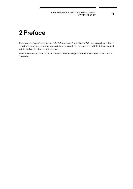# **2 Preface**

The purpose of Arts Research and Talent Development, Key Figures 2021 is to provide an internal report of recent developments in a variety of areas related to research and talent development within the Faculty of Arts and its schools.

The data has been collected in the summer 2021 with support from administrative units at Aarhus University.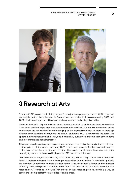

# **3 Research at Arts**

By August 2021, as we are finalizing this year's report, we are physically back at AU Campus and sincerely hope that the universities in Denmark and worldwide look into a remaining 2021 and 2022 with increasingly normal levels of teaching, research and collegial activities.

No doubt the Covid-19 pandemic has been strenuous on all of us, and we are deeply aware that it has been challenging to plan and execute research activities. We are also aware that online conferences are not as effective and engaging, as the physical meeting with room for thorough debates and discussions with students, colleagues and peers. Yet, we have made the best of the options that have been available to us, and the creativity during the pandemic from both students and researchers has been impressive.

This report provides a retrospective glance into the research output at the faculty. And it is obvious, that in spite of all the obstacles during 2020, it has been possible for the academic staff to maintain an impressive level of research output. Measured in publications the research output is only slightly lower that the record high year in 2019 and still remains high.

Graduate School Arts, has been having some previous years with high enrollments. One reason for this is that researchers at Arts are having success with external funding, in which PhD-projects are included. Currently the financial situation for the Graduate School is tighter, and the number of faculty financed stipends is therefore lower than it has been for the past years. We hope that researchers will continue to include PhD-projects in their research projects, as this is a way to secure the talent-pool for the universities scientific areas.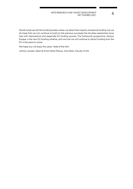Danish funds are still the funding bodies where we attract the majority of external funding, but we do hope that we can continue to build on the previous successes the faculties researchers have had with international and especially EU funding sources. The framework programme, Horizon Europe, is the new EU funding scheme, and we trust we will continue to attract funding from the EU in the years to come.

We hope you will enjoy this years "state of the Arts".

Johnny Laursen, Dean & Anne Marie Pahuus, Vice Dean, Faculty of Arts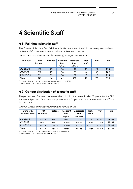# **4 Scientific Staff**

### **4.1 Full-time scientific staff**

The Faculty of Arts has 561 full-time scientific members of staff in the categories professor, professor MSO, associate professor, assistant professor and postdoc.

Table 1. Full-time scientific staff (head count), Faculty of Arts, primo 2021

| <b>Numbers</b> | <b>PhD</b><br>Students* | <b>Postdoc</b> | Assistant<br>Prof. | <b>Associate</b><br>Prof. | Prof.<br><b>MSO</b> | Prof. | Total |
|----------------|-------------------------|----------------|--------------------|---------------------------|---------------------|-------|-------|
|                |                         |                | Adjunkt            | Lektorer                  |                     |       |       |
| $CAS$ $(KS)$   | 103                     | 27             | 16                 | 117                       |                     | 24    | 298   |
| CC(KK)         | 75                      | 27             | 16                 | 131                       |                     | 36    | 289   |
| EDU (DPU)      | 71                      | 12             | 10                 | 107                       |                     | 16    | 223   |
| Total          | 249                     | 66             | 42                 | 355                       | 22                  | 76    | 810   |

Source: HR Arts, August 2021/Graduate school, Arts; January 2021

\*The numbers for PhD students are from ultimo 2020

# **4.2 Gender distribution of scientific staff**

The percentage of women decreases when climbing the career ladder; 62 percent of the PhD students, 45 percent of the associate professors and 39 percent of the professors (incl. MSO) are female at Arts.

| Gender %     | <b>PhD</b> | Postdoc | Assistant | <b>Associate</b> | Prof.      | Prof. | Total |
|--------------|------------|---------|-----------|------------------|------------|-------|-------|
| Female/Male  | Students*  |         | Prof.     | Prof.            | <b>MSO</b> |       |       |
|              |            |         | Adjunkt   | Lektorer         |            |       |       |
| $CAS$ $(KS)$ | 65/35      | 63/37   | 38/63     | 39/61            | 27/73      | 33/67 | 49/51 |
| CC(KK)       | 59/41      | 63/37   | 44/56     | 44/56            | 25/75      | 42/58 | 49/51 |
| EDU (DPU)    | 61/39      | 75/25   | 60/40     | 53/47            | 57/43      | 50/50 | 57/43 |
| Total        | 62/38      | 65/35   | 45/55     | 45/55            | 36/64      | 41/59 | 51/49 |

Table 2. Gender distribution in percentage, Faculty of Arts

Source: HR Arts, August 2021/Graduate School, Arts, January 2021 \*The numbers for PhD students are from ultimo 2020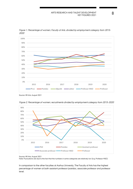

Figure 1. Percentage of women, Faculty of Arts, divided by employment category from 2015- 2020

Source: HR Arts, August 2021



Figure 2. Percentage of women, recruitments divided by employment category from 2015-2020

Source: HR Arts, August 2021

Note: Fluctuations are due to the fact that the numbers in some categories are relatively low (e.g. Professor MSO).

In comparison to the other faculties at Aarhus University, The Faculty of Arts has the highest percentage of women at both assistant professor/postdoc, associate professor and professor level.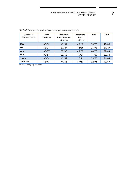| Gender %<br>Female/Male | <b>PhD</b><br><b>Students</b> | Assistant<br>Prof./Postdoc<br>Adjunkt | <b>Associate</b><br>Prof.<br>Lektorer | Prof  | Total |
|-------------------------|-------------------------------|---------------------------------------|---------------------------------------|-------|-------|
| <b>BSS</b>              | 47/53                         | 49/51                                 | 40/60                                 | 25/75 | 41/59 |
| <b>HE</b>               | 66/34                         | 53/47                                 | 42/58                                 | 25/75 | 51/49 |
| <b>Arts</b>             | 63/37                         | 57/43                                 | 45/55                                 | 40/60 | 52/48 |
| Nat.                    | 36/64                         | 32/68                                 | 16/84                                 | 11/89 | 29/71 |
| Tech.                   | 46/54                         | 41/59                                 | 27/73                                 | 15/85 | 36/64 |
| <b>Total AU</b>         | 53/47                         | 44/56                                 | 37/63                                 | 32/76 | 43/57 |

Table 3. Gender distribution in percentage, Aarhus University

Source: AU Key Figures 2020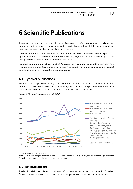# **5 Scientific Publications**

This section provides an overview of the scientific output of Arts' research measured in types and numbers of publications. The overview is divided into bibliometric levels (BFI), peer-reviewed and non-peer-reviewed articles, and publication language.

Data was drawn from Pure in the spring and summer of 2021. All scientific staff is expected to update their Pure profiles by the end of February each year, however, there are some qualitative and quantitative uncertainties in the Pure registrations.

In addition, it is important to be aware that Pure is a dynamic database and data drawn from Pure is considered a momentary glance into the scientific output. The numbers are constantly subject to change, due to new registrations, corrections etc.

### **5.1 Types of publications**

Research at Arts is published through diverse channels. Figure 3 provides an overview of the total number of publications divided into different types of research output. The total number of research publications at Arts has risen from 1.677 in 2010 to 2.015 in 2020.

 $\Omega$ 100 200 300 400 500 600 700 800 900 2010 2011 2012 2013 2014 2015 2016 2017 2018 2019 2020 Articles in scientific journals, peer reviewed Articles in scientific journals, non-peer reviewed Scientific book Contribution to scientific book, anthology Review, Scientific review, editorial, comment/debate Conference contribution (article, paper, poster, abstract) Scientific report, contribution to scientific report Working paper/preprint Other research contributions

Figure 3. Research publications, Arts total

Source: AU Key Figures 2010-2020.

Note: The numbers in Figure 3 are drawn from Pure for the purpose of AU Key Figures, and the methodology used differs from AU Library's method for the remaining parts of the report.

# **5.2 BFI publications**

The Danish Bibliometric Research Indicator (BFI) is dynamic and subject to change. In BFI, series (journals and book series) are divided into 3 levels, publishers are divided into 2 levels. The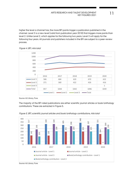higher the level a channel has, the more BFI points trigger a publication published in the channel. Level 3 is a new level (valid from publication year 2018) that triggers more points than level 2. Unlike Level 2, which applies for the following two years, Level 3 will apply for the following four years. All journals and publishers included in the BFI are subject to a peer-review process.



### Figure 4. BFI, Arts total

Source: AU Library, Pure.

The majority of the BFI rated publications are either scientific journal articles or book/anthology contributions. These are extracted in Figure 5.



Figure 5. BFI, scientific journal articles and book/anthology contributions, Arts total

Source: AU Library, Pure.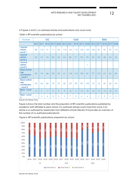Numbers **CC CC CAS EDU 2016 2017 2018 2019 2020 2016 2017 2018 2019 2020 2016 2017 2018 2019 2020 Journal article - Level 1** 88 110 91 111 85 118 124 110 133 129 106 84 93 95 115 **Journal article - Level 2** 52 | 47 | 76 | 83 | 62 | 54 | 58 | 91 | 95 | 75 | 39 | 30 | 38 | 32 | 33 **Journal article - Level 3** 1 **Book/anthol ogy contribution - Level 1** 93 | 76 | 86 | 95 | 99 | 61 | 118 | 116 | 103 | 87 | 77 | 127 | 67 | 96 | 83 **Book/anthol ogy contribution - Level 2** 49 | 65 | 86 | 75 | 72 | 63 | 127 | 90 | 90 | 125 | 15 | 15 | 32 | 38 | 44 **Book - Level 1** 13 9 11 | 5 | 8 | 9 | 16 | 6 | 10 | 10 | 10 | 12 | 18 | 15 **Book - Level 2** 1 4 6 8 3 3 3 7 3 6 6 12 3 3 3

In Figures 4 and 5, co-authored articles and publications only count once.

Table 4. BFI scientific publications by school

Source: AU Library, Pure.

Figure 6 shows the total number and the proportion of BFI scientific publications published by academic staff affiliated to each school. Co-authored articles count more than once, if an article is co-authored by researchers from different schools (Section 5.5 provides an overview of the number of co-authored publications).



Figure 6. BFI scientific publications, proportion by school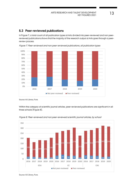### **5.3 Peer-reviewed publications**

In Figure 7, a total count of all publication types at Arts divided into peer-reviewed and non peerreviewed publications shows that the majority of the research output at Arts goes through a peerreview process.



Figure 7. Peer-reviewed and non peer-reviewed publications, all publication types

Source: AU Library, Pure.

Within the category of scientific journal articles, peer-reviewed publications are significant in all three schools (Figure 8).



Figure 8. Peer-reviewed and non peer-reviewed scientific journal articles, by school

Source: AU Library, Pure.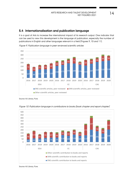### **5.4 Internationalisation and publication language**

It is a goal of Arts to increase the international impact of its research output. One indicator that can be used to view this development is the language of publication, especially the number of publications in English and other languages relevant in a field (Figures 9, 10 and 11).



Figure 9. Publication language in peer-reviewed scientific articles

Source: AU Library, Pure.



Figure 10. Publication language in contributions to books (book chapter and report chapter)

Source: AU Library, Pure.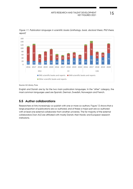

Figure 11. Publication language in scientific books (anthology, book, doctoral thesis, PhD thesis, report)

English and Danish are by far the two main publication languages. In the "other" category, the most common languages used are Spanish, German, Swedish, Norwegian and French.

# **5.5 Author collaborations**

Researchers at Arts increasingly co-publish with one or more co-authors. Figure 12 shows that a large proportion of publications are co-authored, and of these a major part are co-authored with at least one external collaborator from another university. The far majority of the external collaborators (non-AU) are affiliated with mostly Danish, then Nordic and European research institutions.

Source: AU Library, Pure.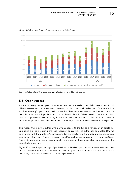

Figure 12. Author collaborations in research publications

Source: AU Library, Pure. \*The green column is a fraction of the middle (red) column.

# **5.6 Open Access**

Aarhus University has adopted an open access policy in order to establish free access for all citizens, researchers and enterprises to research publications produced as part of the research at AU. The university's open access policy states that: "Peer-reviewed research articles, and as far as possible other research publications, are archived in Pure in full-text version and/or as a link, ideally supplemented by archiving in another online academic archive, with indication of whether the publication is an Open Access version or, if relevant, subject to an embargo period."

This means that it is the author who provides access to the full text version of an article, by uploading a full text version in the Pure repository or as a link. The author can only upload the full text version with the publisher's consent. AU Library assists with the practical work concerning publication of an Open Access version in Pure. Researchers are contacted by mail when Open Access to peer-reviewed research articles registered in Pure is possible by uploading the accepted manuscript.

Figure 13 shows the percentage of publications realised as open access. It also shows the open access potential in the different schools and the percentage of publications blocked from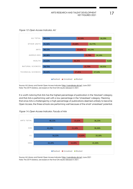Figure 13. Open Access Indicator, AU



Source: AU Library and Danish Open Access Indicator [\(http://oaindikator.dk/en\)](http://oaindikator.dk/en), June 2021 Note: The 2019 statistics, are based on the final OAI results released in 2021.

It is worth noticing that Arts has the highest percentage of publication in the 'blocked' category, and that Arts is performing well with a low percentage in the 'Unrealised' category. Meaning that since Arts is challenged by a high percentage of publications deemed unlikely to become Open Access, the three schools are performing well because of the small 'unrealised' potential.



Figure 14. Open Access Indicator, Faculty of Arts

Source: AU Library and Danish Open Access Indicator [\(http://oaindikator.dk/en\)](http://oaindikator.dk/en), June 2021 Note: The 2019 statistics, are based on the final OAI results released in 2021.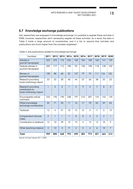### **5.7 Knowledge exchange publications**

Arts' researchers are engaged in knowledge exchange. It is possible to register these activities in PURE, however, researchers don't necessarily register all these activities. As a result, the data in Table 5 holds a large amount of uncertainties, and it is fair to assume that activities and publications are much higher than the numbers registered.

| Numbers                                                        | 2011           | 2012           | 2013           | 2014           | 2015           | 2016           | 2017           | 2018           | 2019           | 2020           |
|----------------------------------------------------------------|----------------|----------------|----------------|----------------|----------------|----------------|----------------|----------------|----------------|----------------|
| Articles in<br>journal/newspaper                               | 323            | 293            | 176            | 226            | 168            | 184            | 158            | 160            | 141            | 139            |
| Feature articles in<br>journal/newspaper                       | 209            | 177            | 112            | 190            | 93             | 130            | 198            | 118            | 128            | 102            |
| Review in<br>journal/newspaper                                 | 100            | 88             | 68             | 53             | 137            | 79             | 75             | 111            | 126            | 125            |
| Research providing<br>book/anthology/report                    | 33             | 32             | 30             | 40             | 44             | 37             | 36             | 38             | 33             | 23             |
| Research providing<br>contribution to<br>book/anthology/report | $\mathbf{1}$   | $\overline{2}$ | $\overline{2}$ | $\mathbf{1}$   | $\overline{2}$ | 9              | 4              | $\overline{7}$ | 8              | $\mathfrak{S}$ |
| Encyclopedia article,<br>comment                               | 232            | 195            | 190            | 238            | 197            | 210            | 207            | 134            | 142            | 129            |
| Other knowledge<br>exchange contributions                      | 32             | 71             | 25             | 11             | 16             | 17             | 70             | 52             | 59             | 63             |
| <b>Textbook</b>                                                | 12             | 4              | 21             | 10             | 12             | 8              | 3              | 11             | 5              | 13             |
| Compendium/lecture<br>notes                                    | $\overline{2}$ | 1              | $\overline{1}$ | $\overline{1}$ | $\overline{0}$ | $\overline{0}$ | $\overline{4}$ | $\overline{2}$ | $\overline{2}$ | $\overline{1}$ |
| Contribution to textbook                                       | 12             | 10             | 39             | 13             | 19             | 4              | 12             | 12             | 10             | 9              |
| Other teaching material                                        | 3              | 12             | 4              | 9              | $\overline{2}$ | 5              | 6              | 6              | 10             | $\overline{7}$ |
| <b>Total</b>                                                   | 959            | 885            | 668            | 792            | 690            | 682            | 773            | 651            | 664            | 614            |

Table 5. Arts publications related to knowledge exchange

Source: AU Key Figures 2011-2020.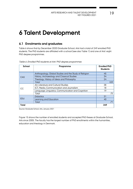# **6 Talent Development**

# **6.1 Enrolments and graduates**

Table 6 shows that by December 2020 Graduate School, Arts had a total of 249 enrolled PhD students. The PhD students are affiliated with a school (see also Table 1) and one of Arts' eight PhD degree programmes.

| School     | Programme                                              | <b>Enrolled PhD</b><br><b>Students</b> |
|------------|--------------------------------------------------------|----------------------------------------|
|            | Anthropology, Global Studies and the Study of Religion | 45                                     |
| CAS        | History, Archaeology and Classical Studies             | 34                                     |
|            | Theology, History of Ideas and Philosophy              | 24                                     |
|            | Total                                                  | 103                                    |
|            | Art, Literature and Cultural Studies                   | 38                                     |
| СC         | ICT, Media, Communication and Journalism               | 18                                     |
|            | Language, Linguistics, Communication and Cognition     | 19                                     |
|            | Total                                                  | 75                                     |
|            | <b>Didactics</b>                                       | 31                                     |
| <b>EDU</b> | Learning and Education                                 | 40                                     |
|            | Total                                                  | 71                                     |
| Total      |                                                        | 249                                    |

Table 6. Enrolled PhD students at Arts' PhD degree programmes

Source: Graduate School, Arts, January 2021

Figure 15 shows the number of enrolled students and accepted PhD theses at Graduate School, Arts since 2005. The faculty has the largest number of PhD enrollments within the humanities, education and theology in Denmark.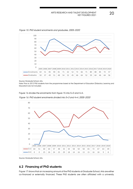

Figure 15. PhD student enrolments and graduates, 2005-2020

Source: Graduate School, Arts.

Note: Prior to 2012 PhD students from the programmes based at the Department of Education (Didactics; Learning and Education) are not included.

Figure 16 divides the enrolments from figure 15 into 5+3 and 4+4.

Figure 16. PhD student enrolments divided into 5+3 and 4+4, 2005-2020



Source: Graduate School, Arts.

# **6.2 Financing of PhD students**

Figure 17 shows that an increasing amount of the PhD students at Graduate School, Arts are either co-financed or externally financed. These PhD students are often affiliated with a university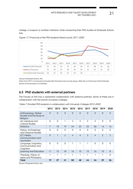college, a museum or another institution while conducting their PhD studies at Graduate School, Arts.



Figure 17. Financing of the PhD students (head count), 2011-2020

Source: Graduate School, Arts.

Note: From 2017 co-financed and externally financed count as one group, often the co-financing of the Graduate School is the exclusion of overhead.

# **6.3 PhD students with external partners**

The Faculty of Arts has a substantial collaboration with external partners. Some of these are in collaboration with the Danish University Colleges.

|                                                              | 2012           | 2013     | 2014          | 2015     | 2016     | 2017           | 2018     | 2019          | 2020          |
|--------------------------------------------------------------|----------------|----------|---------------|----------|----------|----------------|----------|---------------|---------------|
| Anthropology, Global<br>Studies and the Study of<br>Religion | $\Omega$       | $\Omega$ | $\Omega$      | $\Omega$ | $\Omega$ | $\Omega$       | $\Omega$ | $\Omega$      | $\Omega$      |
| Art, Literature and<br><b>Cultural Studies</b>               | $\Omega$       | 0        | 1             | 4        | 4        | 3              | 3        | $\Omega$      | 0             |
| <b>Didactics</b>                                             | $\overline{7}$ | 10       | 19            | 24       | 23       | 22             | 20       | 16            | 16            |
| History, Archaeology<br>and Classical Studies                | $\Omega$       | 0        | 0             | $\Omega$ | $\Omega$ | $\Omega$       | $\Omega$ | $\Omega$      | 0             |
| ICT, Media,<br>Communication and<br>Journalism               | $\Omega$       | T        | $\mathcal{P}$ | 4        | 4        | $\mathfrak{D}$ | 4        | $\mathcal{P}$ | $\mathcal{P}$ |
| Language, Linguistics,<br>Communication and<br>Cognition     | $\Omega$       | 0        | 0             |          |          |                | $\Omega$ | $\Omega$      | 0             |
| Learning and Education                                       | 11             | 15       | 18            | 16       | 15       | 15             | 16       | 10            | 8             |
| Theology, History of<br>ideas and Philosophy                 | 1              |          |               |          |          |                | ı        | 1             | $\Omega$      |
| Total                                                        | 19             | 27       | 41            | 50       | 48       | 44             | 44       | 29            | 26            |

Table 7. Enrolled PhD students in collaboration with University Colleges 2012–2020

Source: Graduate School, Arts.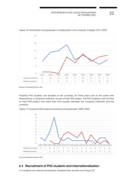

Figure 18. Enrolments and graduates in collaboration with university Colleges 2012-2020

Source: Graduate School, Arts.

Industrial PhD students are enrolled at the university for three years and at the same time employed by a company/institution as part of their PhD project. The PhD students work full time on their PhD project and share their time equally between the company/institution and the university.

Figure 19. Industrial PhD student enrolments and graduates, 2005-2020



Source: Graduate School, Arts.

# **6.4 Recruitment of PhD students and internationalisation**

4+4 students are internal recruitments, therefore they are left out of Figure 20.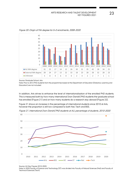

Figure 20. Origin of MA degree for 5+3 enrolments, 2008-2020

Source: Graduate School, Arts.

Note: Prior to 2012 PhD students from the programmes based at the Department of Education (Didactics; Learning and Education) are not included.

In addition, Arts strives to enhance the level of internationalisation of the enrolled PhD students. This is measured both by how many international (non-Danish) PhD students the graduate school has enrolled (Figure 21) and on how many students do a research stay abroad (Figure 22).

Figure 21 shows an increase in the percentage of international students since 2010 at Arts, however the proportion is still low compared to both Nat, Tech and BSS.





Source: AU Key Figures 2010-2020.

Note: In 2020 Faculty of Science and Technology (ST) was divided into Faculty of Natural Sciences (Nat) and Faculty of Technical Sciences (Tech)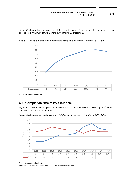Figure 22 shows the percentage of PhD graduates since 2014 who went on a research stay abroad for a minimum of two months during their PhD enrollment.



Figure 22. PhD graduates who did a research stay abroad of min. 2 months, 2014-2020

Source: Graduate School, Arts.

# **6.5 Completion time of PhD students**

Figure 23 shows the development in the average completion time (effective study time) for PhD students at Graduate School, Arts.

Figure 23. Average completion time of PhD degree in years for 4+4 and 5+3, 2011-2020



Source: Graduate School, Arts.

Note: For 4+4 students, all leaves and part A (MA credit) are excluded.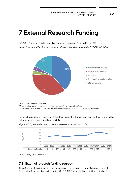# **7 External Research Funding**

In 2020, 17 percent of Arts' annual accounts were external funding (Figure 24). Figure 24. External funding as proportion of Arts' annual accounts in 2020 (1,066,513 DKK)



Source: Administration Centre Arts

"Other funding" refers to non-state funding, for instance from Master tuition fees.

"State others" refer to funding that is neither education nor research related (i.e. library and other funds).

Figure 25 provides an overview of the development of the annual expense level financed by external research funds to Arts since 2009.



Figure 25. Expenses financed by external research funds in million DKK

Source: AU Key Figures 2009-2020.

### **7.1 External research funding sources**

Table 8 shows the origin of funding sources based on the total amount of external research funds to the faculties at AU in the period 2010−2020. The table shows that the majority of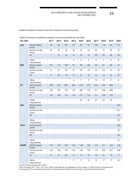external research funds come from national funding sources.

| Mio. DKK   |                         | 2011                                 | 2012                     | 2013                     | 2014                     | 2015                     | 2016                     | 2017                     | 2018                     | 2019                     | 2020                     |
|------------|-------------------------|--------------------------------------|--------------------------|--------------------------|--------------------------|--------------------------|--------------------------|--------------------------|--------------------------|--------------------------|--------------------------|
| Arts       | Danish public<br>funds  | 93                                   | 86                       | 90                       | 92                       | 93                       | 94                       | 105                      | 110                      | 84                       | 75                       |
|            | Danish private<br>funds | 54                                   | 35                       | 36                       | 45                       | 47                       | 42                       | 62                       | 74                       | 87                       | 74                       |
|            | EU                      | $\overline{7}$                       | 15                       | 10                       | $\, 8$                   | 10                       | 14                       | 20                       | 20                       | 26                       | 22                       |
|            | Other<br>international  | $\Box$                               | $\overline{\phantom{a}}$ | $\overline{\phantom{a}}$ | 5                        | 6                        | $\overline{2}$           | $\overline{3}$           | $\overline{4}$           | $\overline{5}$           | $\overline{8}$           |
| <b>BSS</b> | Danish public<br>funds  | 101                                  | 116                      | 105                      | 95                       | 98                       | 88                       | 92                       | 81                       | 86                       | 75                       |
|            | Danish private<br>funds | 21                                   | 27                       | 35                       | 37                       | 46                       | 45                       | 54                       | 63                       | 73                       | 82                       |
|            | EU                      | 17                                   | 20                       | 18                       | 12                       | 21                       | 15                       | 16                       | 16                       | 22                       | 27                       |
|            | Other<br>international  | $\blacksquare$                       | $\overline{\phantom{a}}$ | $\overline{a}$           | $\boldsymbol{6}$         | $\overline{7}$           | $\mathcal{P}$            | 10                       | 10                       | 9                        | $\, 8$                   |
| <b>ST</b>  | Danish public<br>funds  | 590                                  | 632                      | 607                      | 604                      | 622                      | 679                      | 665                      | 599                      | 608                      |                          |
|            | Danish private<br>funds | 178                                  | 178                      | 165                      | 189                      | 209                      | 178                      | 217                      | 260                      | 288                      |                          |
|            | EU                      | 144                                  | 140                      | 179                      | 116                      | 131                      | 123                      | 121                      | 130                      | 139                      | $\overline{\phantom{a}}$ |
|            | Other<br>international  | $\Box$                               | $\overline{\phantom{a}}$ | $\overline{\phantom{a}}$ | $\qquad \qquad \Box$     | 37                       | 46                       | 47                       | 63                       | 75                       | $\blacksquare$           |
| Nat.       | Danish public<br>funds  | $\mathbf{r} = \mathbf{r} \mathbf{r}$ | $\overline{\phantom{a}}$ | $\overline{a}$           | $\frac{1}{2}$            | $\overline{a}$           | $\overline{\phantom{a}}$ | $\overline{\phantom{a}}$ | $\overline{a}$           | $\overline{\phantom{a}}$ | 242                      |
|            | Danish private<br>funds | $\blacksquare$                       | $\bar{\phantom{a}}$      | $\overline{\phantom{0}}$ | $\overline{\phantom{a}}$ | $\overline{a}$           | $\overline{\phantom{a}}$ | $\blacksquare$           | $\overline{\phantom{0}}$ | $\overline{\phantom{a}}$ | 241                      |
|            | EU                      | $\overline{\phantom{0}}$             | $\overline{\phantom{a}}$ | $\overline{a}$           | $\overline{a}$           | $\overline{a}$           | $\overline{\phantom{0}}$ | $\overline{\phantom{a}}$ | $\overline{\phantom{0}}$ | $\overline{a}$           | 63                       |
|            | Other<br>international  | $\overline{\phantom{a}}$             | $\bar{\phantom{a}}$      | $\overline{\phantom{a}}$ | $\overline{\phantom{a}}$ | $\overline{a}$           | $\overline{\phantom{a}}$ | $\blacksquare$           | $\overline{\phantom{a}}$ | $\overline{\phantom{a}}$ | 35                       |
| Tech.      | Danish public<br>funds  | $\overline{a}$                       |                          | $\overline{a}$           |                          |                          | $\overline{a}$           |                          | $\overline{a}$           | $\overline{a}$           | 302                      |
|            | Danish private<br>funds | $\overline{\phantom{0}}$             | $\overline{\phantom{a}}$ | $\overline{\phantom{0}}$ | $\overline{\phantom{a}}$ | $\frac{1}{2}$            | $\overline{\phantom{a}}$ | $\overline{\phantom{a}}$ | $\overline{\phantom{0}}$ | $\overline{\phantom{a}}$ | 79                       |
|            | EU                      | $\blacksquare$                       | $\overline{\phantom{a}}$ | $\overline{\phantom{0}}$ | $\overline{\phantom{a}}$ | $\overline{\phantom{a}}$ | $\overline{\phantom{0}}$ | $\overline{\phantom{a}}$ | $\overline{\phantom{0}}$ | $\overline{\phantom{a}}$ | 90                       |
|            | Other<br>international  | $\overline{\phantom{a}}$             | $\overline{\phantom{a}}$ | $\overline{\phantom{a}}$ | $\overline{\phantom{a}}$ |                          | $\overline{\phantom{a}}$ | $\overline{\phantom{a}}$ | $\overline{\phantom{a}}$ | $\overline{\phantom{a}}$ | 32                       |
| Health     | Danish public<br>funds  | 129                                  | 144                      | 159                      | 146                      | 148                      | 135                      | 124                      | 121                      | 126                      | 120                      |
|            | Danish private<br>funds | 104                                  | 126                      | 145                      | 157                      | 169                      | 159                      | 172                      | 200                      | 237                      | 248                      |
|            | EU                      | 31                                   | 31                       | 34                       | 12                       | 12                       | 15                       | 18                       | 21                       | 18                       | $17$                     |
|            | Other<br>international  | $\overline{\phantom{0}}$             | $\overline{\phantom{a}}$ | $\blacksquare$           | 11                       | $11$                     | 12                       | 12                       | $17\,$                   | 17                       | 22                       |

Table 8. Sources of external research funding divided into faculties

Source: AU Key Figures 2011-2020.

Note: For years 2011-2013, "EU" and "Other international" are gathered in one number. In 2020 Faculty of Science and Technology (ST) was divided into Faculty of Natural Sciences (Nat.) and Faculty of Technical Sciences (Tech).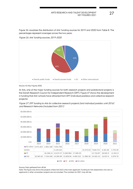Figure 26 visualizes the distribution of Arts' funding sources for 2019 and 2020 from Table 8. The percentages represent averages across the two years.

Figure 26. Arts' funding sources, 2019-2020



Source: AU Key Figures 2020.

At Arts, one of the major funding sources for both research projects and postdoctoral projects is the Danish Research Council for Independent Research (DFF). Figure 27 shows the development in funding that Arts' schools have attracted from DFF (individual postdocs and collective research projects).

Figure 27. DFF funding to Arts for collective research projects (and individual postdoc until 2016) and Research Networks (included from 2021)



Source: Data gathered from dff.dk

Note: The figure only shows the projects where Arts (AU) is the main applicant. Funding for Arts researchers who are coapplicants in other universities' projects are not included. The numbers for 2021 may still rise.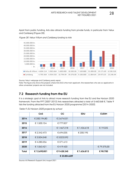Apart from public funding, Arts also attracts funding from private funds, in particular from Velux and Carlsberg (Figure 28).



Figure 28. Velux/Villum and Carlsberg funding to Arts

Source: Velux' webpage and Carlsberg yearly report.

Note: The figure only shows the projects where Arts (AU) is the main applicant. Arts researchers who are co-applicants in other universities' projects are not included.

# **7.2 Research funding from the EU**

It is a strategic goal of Arts to attract more research funding from the EU and the Horizon 2020 framework. From the FP7 (2007-2013) Arts researchers attracted a total of 5.460.568 €. Table 9 lists the funding attracted from the EU Horizon 2020 programme (2014-2020).

|       | CAS          | cc           | <b>EDU</b>  | <b>CUDIM</b> |
|-------|--------------|--------------|-------------|--------------|
| 2014  | € 200.194,80 | € 2.674.531  |             |              |
| 2015  | € 1.500.154  | €777.837     |             |              |
| 2016  |              | € 1.467.218  | € 1.436.618 | € 19.325     |
| 2017  | € 2.342.473  | € 694.035    | € 200.195   |              |
| 2018  | € 3.504.548  | € 3.023.592  |             |              |
| 2019  | €4.280.256   | €371.613     |             |              |
| 2020  | € 1.063.421  | €419.420     |             | €79.375,00   |
| Total | € 12.690.851 | €9.428.245   | €1.636.813  | €98.700      |
|       |              | € 23.854.609 |             |              |

Table 9. EU Horizon 2020 projects by school

Source: AU Research Support Unit, August 2021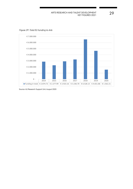

Figure 29. Total EU funding to Arts

Source: AU Research Support Unit, August 2020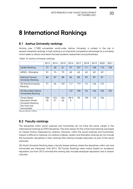# **8 International Rankings**

# **8.1 Aarhus University rankings**

Among over 17.000 universities world-wide, Aarhus University is ranked in the top in several influential rankings. A high ranking is an important competitive advantage for a university which seeks to attract and retain the best students, researchers and partnerships.

|                                                                                                           | 2013       | 2014       | 2015       | 2016      | 2017 | 2018 | 2019 | 2020 | 2021 |
|-----------------------------------------------------------------------------------------------------------|------------|------------|------------|-----------|------|------|------|------|------|
| Leiden Ranking                                                                                            | 77         | 68         | 81         | 97        | 101  | 111  | 108  | 110  | 128  |
| ARWU - Shanghai                                                                                           | 81         | 74         | 73         | 65        | 65   | 65   | 60   | 69   |      |
| National Taiwan<br>University Ranking                                                                     | 86         | 87         | 88         | 86        | 88   | 89   | 89   | 87   |      |
| QS World University<br>Ranking                                                                            | 91         | 96         | 107        | 117       | 119  | 141  | 145  | 147  |      |
| US News Best Global<br>Universities Ranking                                                               |            |            |            | 127       | 108  | 95   | 106  | 105  | 155  |
| <b>Times Higher</b><br><b>Education World</b><br><b>University Ranking</b><br>(AU/Arts and<br>Humanities) | 138/<br>95 | 153/<br>91 | 106/<br>65 | 98/5<br>5 | 98   | 109  | 123  | 106  |      |

Table 10. Aarhus University rankings

Source: Rector's Office.

# **8.2 Faculty rankings**

The disciplines within social sciences and humanities do not have the same weight in the international rankings as STEM disciplines. The main reason for this is that most rankings are based on impact factors measured by citations. However, within the social sciences and humanities, impact is difficult to measure via citations indexes. Leiden and Shanghai rankings do not include the humanistic disciplines in their rankings (the ranking includes education as part of the social sciences).

QS World University Ranking does a faculty based ranking where the disciplines within arts and humanities are measured. Until 2012, QS Faculty Rankings were mainly based on academic reputation, but from 2013 onwards the ranking also includes employer reputation and a citation indicator.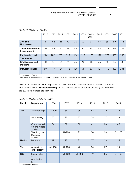|                                      | 2010 | 2011 | 2012 | 2013 | 2014 | 2015 | 2016/<br>2017 | 2018 | 2019 | 2020 | 2021 |
|--------------------------------------|------|------|------|------|------|------|---------------|------|------|------|------|
| Arts and<br><b>Humanities</b>        | 117  | 154  | 116  | 79   | 76   | 92   | 93            | 87   | 85   | 110  | 111  |
| Social Sciences and<br>Management    | 29   | 144  | 122  | 59   | 62   | 70   | 68            | 98   | 118  | 145  | 132  |
| <b>Engineering and</b><br>Technology | 214  | 202  | 239  | 128  | 166  | 112  | 105           | 113  | 178  | 197  | 206  |
| <b>Life Sciences and</b><br>Medicine | 116  | 95   | 109  | 74   | 64   | 60   | 58            | 66   | 75   | 86   | 85   |
| <b>Natural Sciences</b>              | 89   | 117  | 134  | 112  | 139  | 95   | 87            | 131  | 150  | 197  | 201  |

### Table 11. QS Faculty Rankings

Source: Rector's Office.

Note: Some of Arts' academic disciplines fall within the other categories in the faculty ranking.

In addition to the faculty ranking Arts have a few academic disciplines which have an impressive high ranking in the **QS subject ranking.** In 2021 five disciplines at Aarhus University are ranked in top 50. Three of these are from Arts

| <b>Faculty</b> | Department                                    | 2016       | 2017       | 2018       | 2019 | 2020 | 2021       |
|----------------|-----------------------------------------------|------------|------------|------------|------|------|------------|
| <b>Arts</b>    | Anthropology                                  | $51 - 100$ | 39         | 35         | 42   | 34   | 39         |
|                | Archaeology                                   | 40         | 25         | 17         | 35   | 27   | 36         |
|                | Communicati<br>on and Media<br><b>Studies</b> | 34         | 38         | 35         | 42   | 36   | 40         |
|                | Theology and<br>Religious<br><b>Studies</b>   |            | 51-100     | 29         | 30   | 38   | $51 - 100$ |
| <b>Health</b>  | Dentistry                                     | 17         | 17         | 21         | 27   | 33   | 35         |
| Tech           | Agriculture<br>and Forestry                   | $51 - 100$ | $51 - 100$ | 45         | 35   | 37   | 28         |
| <b>BSS</b>     | Social Policy<br>&<br>Administratio<br>n      |            | $51 - 100$ | $51 - 100$ | 49   | 36   | $51 - 100$ |

Table 12. QS Subject Ranking, AU

Source: RQS subject ranking.